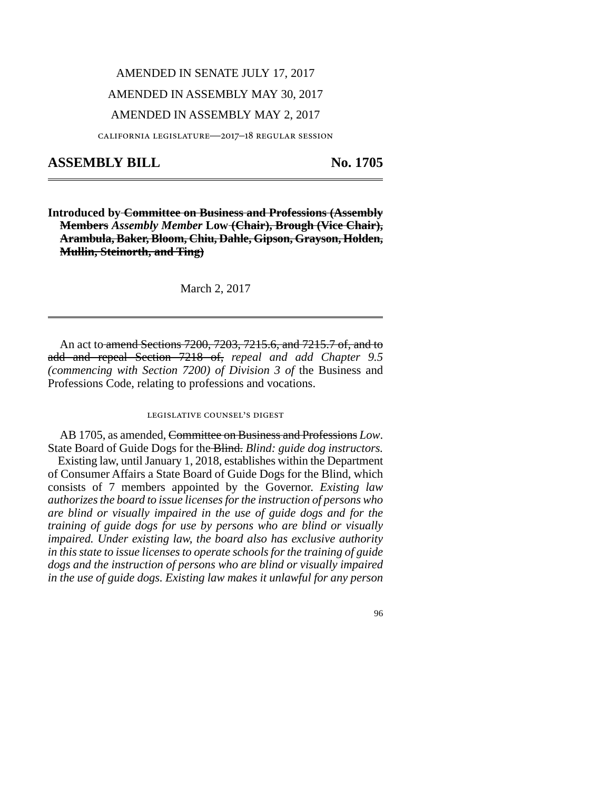## AMENDED IN SENATE JULY 17, 2017 AMENDED IN ASSEMBLY MAY 30, 2017 AMENDED IN ASSEMBLY MAY 2, 2017

california legislature—2017–18 regular session

## **ASSEMBLY BILL No. 1705**

**Introduced by Committee on Business and Professions (Assembly Members** *Assembly Member* **Low (Chair), Brough (Vice Chair), Arambula, Baker, Bloom, Chiu, Dahle, Gipson, Grayson, Holden, Mullin, Steinorth, and Ting)**

March 2, 2017

An act to amend Sections 7200, 7203, 7215.6, and 7215.7 of, and to add and repeal Section 7218 of, *repeal and add Chapter 9.5 (commencing with Section 7200) of Division 3 of* the Business and Professions Code, relating to professions and vocations.

## legislative counsel's digest

AB 1705, as amended, Committee on Business and Professions *Low*. State Board of Guide Dogs for the Blind. *Blind: guide dog instructors.*

Existing law, until January 1, 2018, establishes within the Department of Consumer Affairs a State Board of Guide Dogs for the Blind, which consists of 7 members appointed by the Governor. *Existing law authorizes the board to issue licenses for the instruction of persons who are blind or visually impaired in the use of guide dogs and for the training of guide dogs for use by persons who are blind or visually impaired. Under existing law, the board also has exclusive authority in this state to issue licenses to operate schools for the training of guide dogs and the instruction of persons who are blind or visually impaired in the use of guide dogs. Existing law makes it unlawful for any person*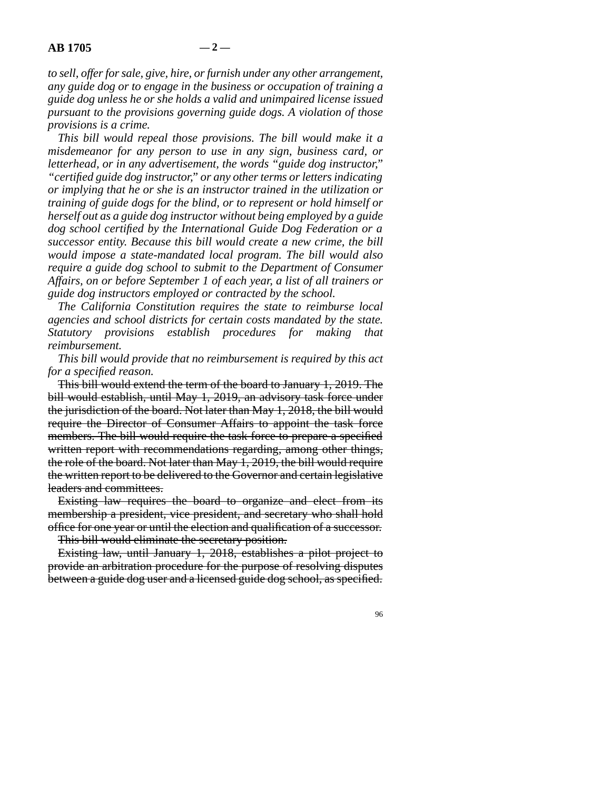*to sell, offer for sale, give, hire, or furnish under any other arrangement, any guide dog or to engage in the business or occupation of training a guide dog unless he or she holds a valid and unimpaired license issued pursuant to the provisions governing guide dogs. A violation of those provisions is a crime.*

*This bill would repeal those provisions. The bill would make it a misdemeanor for any person to use in any sign, business card, or letterhead, or in any advertisement, the words "guide dog instructor," "certified guide dog instructor," or any other terms or letters indicating or implying that he or she is an instructor trained in the utilization or training of guide dogs for the blind, or to represent or hold himself or herself out as a guide dog instructor without being employed by a guide dog school certified by the International Guide Dog Federation or a successor entity. Because this bill would create a new crime, the bill would impose a state-mandated local program. The bill would also require a guide dog school to submit to the Department of Consumer Affairs, on or before September 1 of each year, a list of all trainers or guide dog instructors employed or contracted by the school.*

*The California Constitution requires the state to reimburse local agencies and school districts for certain costs mandated by the state. Statutory provisions establish procedures for making that reimbursement.*

*This bill would provide that no reimbursement is required by this act for a specified reason.*

This bill would extend the term of the board to January 1, 2019. The bill would establish, until May 1, 2019, an advisory task force under the jurisdiction of the board. Not later than May 1, 2018, the bill would require the Director of Consumer Affairs to appoint the task force members. The bill would require the task force to prepare a specified written report with recommendations regarding, among other things, the role of the board. Not later than May 1, 2019, the bill would require the written report to be delivered to the Governor and certain legislative leaders and committees.

Existing law requires the board to organize and elect from its membership a president, vice president, and secretary who shall hold office for one year or until the election and qualification of a successor.

This bill would eliminate the secretary position.

Existing law, until January 1, 2018, establishes a pilot project to provide an arbitration procedure for the purpose of resolving disputes between a guide dog user and a licensed guide dog school, as specified.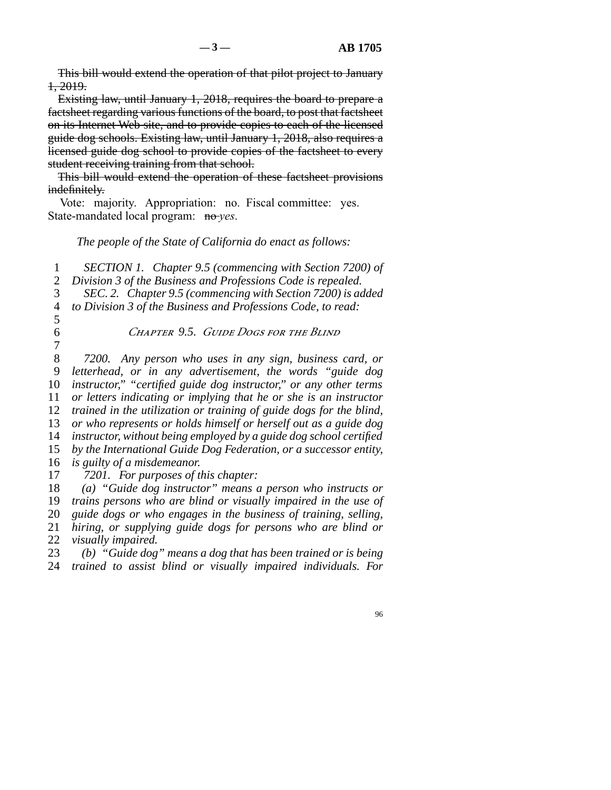This bill would extend the operation of that pilot project to January 1, 2019.

Existing law, until January 1, 2018, requires the board to prepare a factsheet regarding various functions of the board, to post that factsheet on its Internet Web site, and to provide copies to each of the licensed guide dog schools. Existing law, until January 1, 2018, also requires a licensed guide dog school to provide copies of the factsheet to every student receiving training from that school.

This bill would extend the operation of these factsheet provisions indefinitely.

Vote: majority. Appropriation: no. Fiscal committee: yes. State-mandated local program: no-*yes*.

*The people of the State of California do enact as follows:*

line 1 *SECTION 1. Chapter 9.5 (commencing with Section 7200) of*

2 *Division 3 of the Business and Professions Code is repealed.* 

line 3 *SEC. 2. Chapter 9.5 (commencing with Section 7200) is added*

4 *to Division 3 of the Business and Professions Code, to read:* 

- $\overline{5}$
- 

line 6 *Chapter 9.5. Guide Dogs for the Blind*

 $\begin{array}{c} 7 \\ 8 \end{array}$  line 8 *7200. Any person who uses in any sign, business card, or* line 9 *letterhead, or in any advertisement, the words "guide dog instructor,*" "certified guide dog instructor," or any other terms *or letters indicating or implying that he or she is an instructor trained in the utilization or training of guide dogs for the blind, or who represents or holds himself or herself out as a guide dog instructor, without being employed by a guide dog school certified by the International Guide Dog Federation, or a successor entity, is guilty of a misdemeanor.* 

17 7201. For purposes of this chapter:

18 (a) "Guide dog instructor" means a person who instructs or

19 *trains persons who are blind or visually impaired in the use of* 

line 20 *guide dogs or who engages in the business of training, selling,*

21 *hiring, or supplying guide dogs for persons who are blind or* 22 *visually impaired.* 

23 (b) "Guide dog" means a dog that has been trained or is being line 24 *trained to assist blind or visually impaired individuals. For*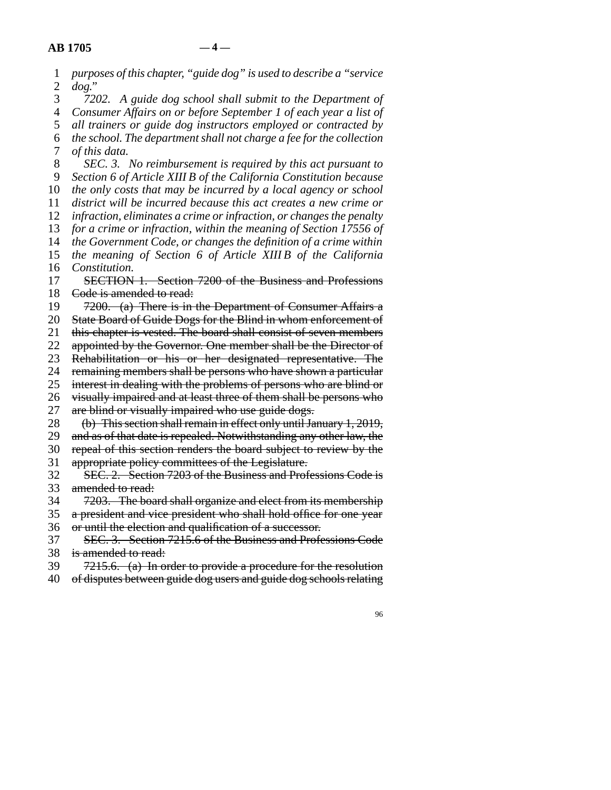| 1                | purposes of this chapter, "guide dog" is used to describe a "service |
|------------------|----------------------------------------------------------------------|
| $\overline{2}$   | $dog.$ "                                                             |
| 3                | A guide dog school shall submit to the Department of<br>7202.        |
| $\overline{4}$   | Consumer Affairs on or before September 1 of each year a list of     |
| 5                | all trainers or guide dog instructors employed or contracted by      |
| 6                | the school. The department shall not charge a fee for the collection |
| $\boldsymbol{7}$ | of this data.                                                        |
| 8                | SEC. 3. No reimbursement is required by this act pursuant to         |
| 9                | Section 6 of Article XIII B of the California Constitution because   |
| 10               | the only costs that may be incurred by a local agency or school      |
| 11               | district will be incurred because this act creates a new crime or    |
| 12               | infraction, eliminates a crime or infraction, or changes the penalty |
| 13               | for a crime or infraction, within the meaning of Section 17556 of    |
| 14               | the Government Code, or changes the definition of a crime within     |
| 15               | the meaning of Section 6 of Article XIII B of the California         |
| 16               | Constitution.                                                        |
| 17               | SECTION 1. Section 7200 of the Business and Professions              |
| 18               | Code is amended to read:                                             |
| 19               | 7200. (a) There is in the Department of Consumer Affairs a           |
| 20               | State Board of Guide Dogs for the Blind in whom enforcement of       |
| 21               | this chapter is vested. The board shall consist of seven members     |
| 22               | appointed by the Governor. One member shall be the Director of       |
| 23               | Rehabilitation or his or her designated representative. The          |
| 24               | remaining members shall be persons who have shown a particular       |
| 25               | interest in dealing with the problems of persons who are blind or    |
| 26               | visually impaired and at least three of them shall be persons who    |
| 27               | are blind or visually impaired who use guide dogs.                   |
| 28               | (b) This section shall remain in effect only until January 1, 2019,  |
| 29               | and as of that date is repealed. Notwithstanding any other law, the  |
| 30               | repeal of this section renders the board subject to review by the    |
| 31               | appropriate policy committees of the Legislature.                    |
| 32               | SEC. 2. Section 7203 of the Business and Professions Code is         |
| 33               | amended to read:                                                     |
| 34               | 7203. The board shall organize and elect from its membership         |
| 35               | a president and vice president who shall hold office for one year    |
| 36               | or until the election and qualification of a successor.              |
| 37               | SEC. 3. Section 7215.6 of the Business and Professions Code          |
| 38               | is amended to read:                                                  |
| 39               | $7215.6.$ (a) In order to provide a procedure for the resolution     |
| 40               | of disputes between guide dog users and guide dog schools relating   |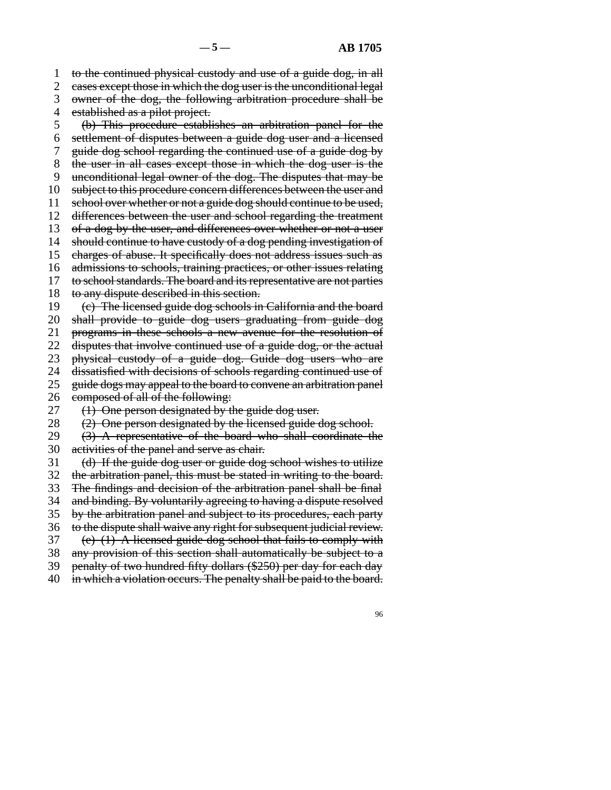1 to the continued physical custody and use of a guide dog, in all

2 cases except those in which the dog user is the unconditional legal

3 owner of the dog, the following arbitration procedure shall be

4 established as a pilot project.

5 (b) This procedure establishes an arbitration panel for the

- line 6 settlement of disputes between a guide dog user and a licensed
- 7 guide dog school regarding the continued use of a guide dog by
- 8 the user in all cases except those in which the dog user is the
- 9 unconditional legal owner of the dog. The disputes that may be
- 10 subject to this procedure concern differences between the user and
- 11 school over whether or not a guide dog should continue to be used,
- 12 differences between the user and school regarding the treatment
- 13 of a dog by the user, and differences over whether or not a user
- 14 should continue to have custody of a dog pending investigation of
- 15 charges of abuse. It specifically does not address issues such as
- 16 admissions to schools, training practices, or other issues relating
- 17 to school standards. The board and its representative are not parties
- 18 to any dispute described in this section.
- 19 (e) The licensed guide dog schools in California and the board

20 shall provide to guide dog users graduating from guide dog

21 programs in these schools a new avenue for the resolution of

22 disputes that involve continued use of a guide dog, or the actual

23 physical custody of a guide dog. Guide dog users who are

- 24 dissatisfied with decisions of schools regarding continued use of 25 guide dogs may appeal to the board to convene an arbitration panel
- guide dogs may appeal to the board to convene an arbitration panel

26 composed of all of the following:

- 27 (1) One person designated by the guide dog user.
- 28  $(2)$  One person designated by the licensed guide dog school.
- 29  $(3)$  A representative of the board who shall coordinate the 30 activities of the panel and serve as chair.
- 

31 (d) If the guide dog user or guide dog school wishes to utilize

32 the arbitration panel, this must be stated in writing to the board.

33 The findings and decision of the arbitration panel shall be final 34 and binding. By voluntarily agreeing to having a dispute resolved

35 by the arbitration panel and subject to its procedures, each party

- 36 to the dispute shall waive any right for subsequent judicial review.
- 37 (e) (1) A licensed guide dog school that fails to comply with
- 38 any provision of this section shall automatically be subject to a

39 penalty of two hundred fifty dollars (\$250) per day for each day

40 in which a violation occurs. The penalty shall be paid to the board.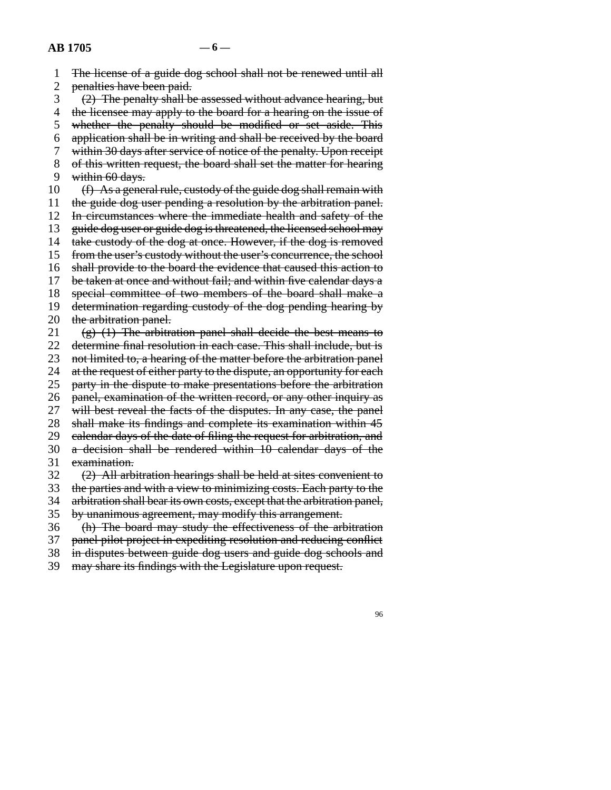1 The license of a guide dog school shall not be renewed until all 2 penalties have been paid.  $\beta$  (2) The penalty shall be assessed without advance hearing, but 4 the licensee may apply to the board for a hearing on the issue of 5 whether the penalty should be modified or set aside. This line 6 application shall be in writing and shall be received by the board 7 within 30 days after service of notice of the penalty. Upon receipt 8 of this written request, the board shall set the matter for hearing 9 within  $60$  days. 10  $(f)$  As a general rule, custody of the guide dog shall remain with 11 the guide dog user pending a resolution by the arbitration panel. 12 In circumstances where the immediate health and safety of the 13 guide dog user or guide dog is threatened, the licensed school may 14 take custody of the dog at once. However, if the dog is removed 15 from the user's custody without the user's concurrence, the school 16 shall provide to the board the evidence that caused this action to 17 be taken at once and without fail; and within five calendar days a 18 special committee of two members of the board shall make a 19 determination regarding custody of the dog pending hearing by 20 the arbitration panel. 21 (g)  $(1)$  The arbitration panel shall decide the best means to 22 determine final resolution in each case. This shall include, but is 23 not limited to, a hearing of the matter before the arbitration panel 24 at the request of either party to the dispute, an opportunity for each<br>25 party in the dispute to make presentations before the arbitration party in the dispute to make presentations before the arbitration 26 panel, examination of the written record, or any other inquiry as 27 will best reveal the facts of the disputes. In any case, the panel 28 shall make its findings and complete its examination within 45 29 calendar days of the date of filing the request for arbitration, and 30 a decision shall be rendered within 10 calendar days of the 31 examination.  $\frac{1}{2}$  (2) All arbitration hearings shall be held at sites convenient to 33 the parties and with a view to minimizing costs. Each party to the 34 arbitration shall bear its own costs, except that the arbitration panel, 35 by unanimous agreement, may modify this arrangement. 36 (h) The board may study the effectiveness of the arbitration 37 panel pilot project in expediting resolution and reducing conflict 38 in disputes between guide dog users and guide dog schools and

39 may share its findings with the Legislature upon request.